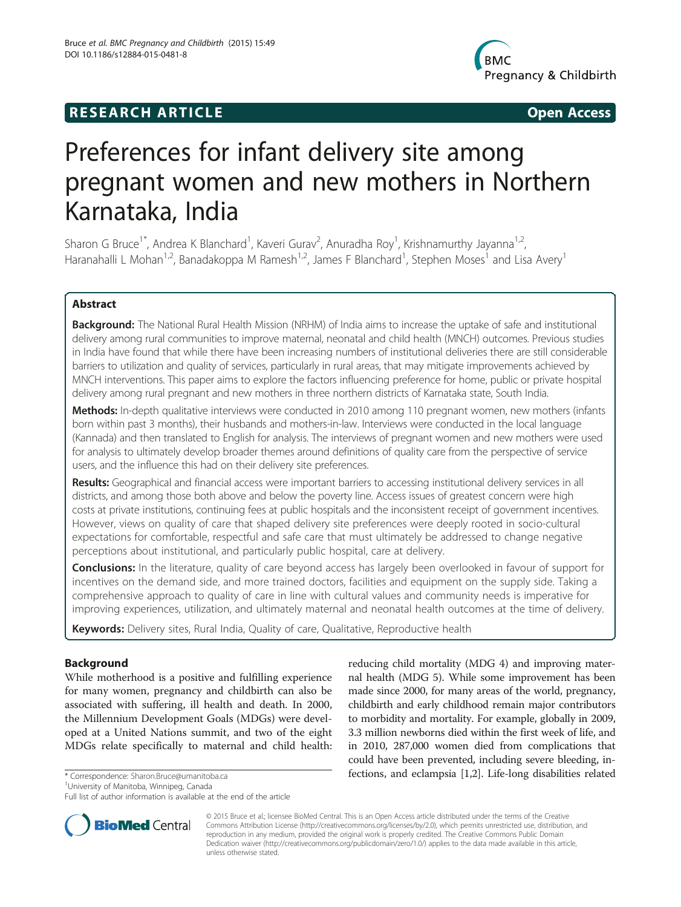## **RESEARCH ARTICLE Example 2014 The SEAR CH ACCESS**



# Preferences for infant delivery site among pregnant women and new mothers in Northern Karnataka, India

Sharon G Bruce<sup>1\*</sup>, Andrea K Blanchard<sup>1</sup>, Kaveri Gurav<sup>2</sup>, Anuradha Roy<sup>1</sup>, Krishnamurthy Jayanna<sup>1,2</sup>, Haranahalli L Mohan<sup>1,2</sup>, Banadakoppa M Ramesh<sup>1,2</sup>, James F Blanchard<sup>1</sup>, Stephen Moses<sup>1</sup> and Lisa Avery<sup>1</sup>

## Abstract

Background: The National Rural Health Mission (NRHM) of India aims to increase the uptake of safe and institutional delivery among rural communities to improve maternal, neonatal and child health (MNCH) outcomes. Previous studies in India have found that while there have been increasing numbers of institutional deliveries there are still considerable barriers to utilization and quality of services, particularly in rural areas, that may mitigate improvements achieved by MNCH interventions. This paper aims to explore the factors influencing preference for home, public or private hospital delivery among rural pregnant and new mothers in three northern districts of Karnataka state, South India.

Methods: In-depth qualitative interviews were conducted in 2010 among 110 pregnant women, new mothers (infants born within past 3 months), their husbands and mothers-in-law. Interviews were conducted in the local language (Kannada) and then translated to English for analysis. The interviews of pregnant women and new mothers were used for analysis to ultimately develop broader themes around definitions of quality care from the perspective of service users, and the influence this had on their delivery site preferences.

Results: Geographical and financial access were important barriers to accessing institutional delivery services in all districts, and among those both above and below the poverty line. Access issues of greatest concern were high costs at private institutions, continuing fees at public hospitals and the inconsistent receipt of government incentives. However, views on quality of care that shaped delivery site preferences were deeply rooted in socio-cultural expectations for comfortable, respectful and safe care that must ultimately be addressed to change negative perceptions about institutional, and particularly public hospital, care at delivery.

**Conclusions:** In the literature, quality of care beyond access has largely been overlooked in favour of support for incentives on the demand side, and more trained doctors, facilities and equipment on the supply side. Taking a comprehensive approach to quality of care in line with cultural values and community needs is imperative for improving experiences, utilization, and ultimately maternal and neonatal health outcomes at the time of delivery.

Keywords: Delivery sites, Rural India, Quality of care, Qualitative, Reproductive health

## Background

While motherhood is a positive and fulfilling experience for many women, pregnancy and childbirth can also be associated with suffering, ill health and death. In 2000, the Millennium Development Goals (MDGs) were developed at a United Nations summit, and two of the eight MDGs relate specifically to maternal and child health:

<sup>1</sup> University of Manitoba, Winnipeg, Canada

Full list of author information is available at the end of the article





© 2015 Bruce et al.; licensee BioMed Central. This is an Open Access article distributed under the terms of the Creative Commons Attribution License [\(http://creativecommons.org/licenses/by/2.0\)](http://creativecommons.org/licenses/by/2.0), which permits unrestricted use, distribution, and reproduction in any medium, provided the original work is properly credited. The Creative Commons Public Domain Dedication waiver [\(http://creativecommons.org/publicdomain/zero/1.0/](http://creativecommons.org/publicdomain/zero/1.0/)) applies to the data made available in this article, unless otherwise stated.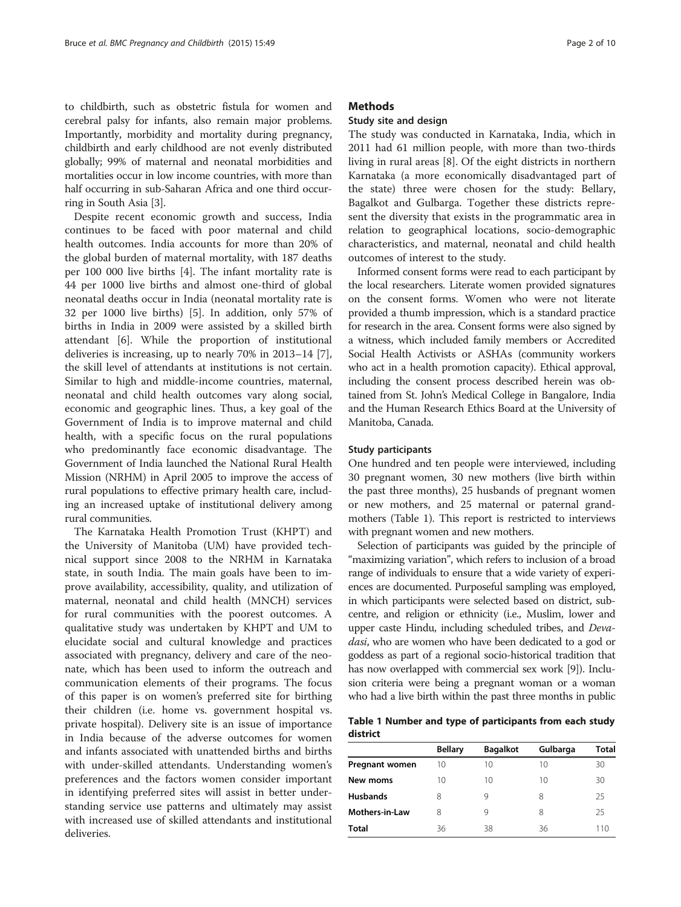to childbirth, such as obstetric fistula for women and cerebral palsy for infants, also remain major problems. Importantly, morbidity and mortality during pregnancy, childbirth and early childhood are not evenly distributed globally; 99% of maternal and neonatal morbidities and mortalities occur in low income countries, with more than half occurring in sub-Saharan Africa and one third occurring in South Asia [\[3\]](#page-8-0).

Despite recent economic growth and success, India continues to be faced with poor maternal and child health outcomes. India accounts for more than 20% of the global burden of maternal mortality, with 187 deaths per 100 000 live births [[4\]](#page-8-0). The infant mortality rate is 44 per 1000 live births and almost one-third of global neonatal deaths occur in India (neonatal mortality rate is 32 per 1000 live births) [[5](#page-8-0)]. In addition, only 57% of births in India in 2009 were assisted by a skilled birth attendant [[6\]](#page-8-0). While the proportion of institutional deliveries is increasing, up to nearly 70% in 2013–14 [\[7](#page-8-0)], the skill level of attendants at institutions is not certain. Similar to high and middle-income countries, maternal, neonatal and child health outcomes vary along social, economic and geographic lines. Thus, a key goal of the Government of India is to improve maternal and child health, with a specific focus on the rural populations who predominantly face economic disadvantage. The Government of India launched the National Rural Health Mission (NRHM) in April 2005 to improve the access of rural populations to effective primary health care, including an increased uptake of institutional delivery among rural communities.

The Karnataka Health Promotion Trust (KHPT) and the University of Manitoba (UM) have provided technical support since 2008 to the NRHM in Karnataka state, in south India. The main goals have been to improve availability, accessibility, quality, and utilization of maternal, neonatal and child health (MNCH) services for rural communities with the poorest outcomes. A qualitative study was undertaken by KHPT and UM to elucidate social and cultural knowledge and practices associated with pregnancy, delivery and care of the neonate, which has been used to inform the outreach and communication elements of their programs. The focus of this paper is on women's preferred site for birthing their children (i.e. home vs. government hospital vs. private hospital). Delivery site is an issue of importance in India because of the adverse outcomes for women and infants associated with unattended births and births with under-skilled attendants. Understanding women's preferences and the factors women consider important in identifying preferred sites will assist in better understanding service use patterns and ultimately may assist with increased use of skilled attendants and institutional deliveries.

#### **Methods**

## Study site and design

The study was conducted in Karnataka, India, which in 2011 had 61 million people, with more than two-thirds living in rural areas [\[8](#page-8-0)]. Of the eight districts in northern Karnataka (a more economically disadvantaged part of the state) three were chosen for the study: Bellary, Bagalkot and Gulbarga. Together these districts represent the diversity that exists in the programmatic area in relation to geographical locations, socio-demographic characteristics, and maternal, neonatal and child health outcomes of interest to the study.

Informed consent forms were read to each participant by the local researchers. Literate women provided signatures on the consent forms. Women who were not literate provided a thumb impression, which is a standard practice for research in the area. Consent forms were also signed by a witness, which included family members or Accredited Social Health Activists or ASHAs (community workers who act in a health promotion capacity). Ethical approval, including the consent process described herein was obtained from St. John's Medical College in Bangalore, India and the Human Research Ethics Board at the University of Manitoba, Canada.

#### Study participants

One hundred and ten people were interviewed, including 30 pregnant women, 30 new mothers (live birth within the past three months), 25 husbands of pregnant women or new mothers, and 25 maternal or paternal grandmothers (Table 1). This report is restricted to interviews with pregnant women and new mothers.

Selection of participants was guided by the principle of "maximizing variation", which refers to inclusion of a broad range of individuals to ensure that a wide variety of experiences are documented. Purposeful sampling was employed, in which participants were selected based on district, subcentre, and religion or ethnicity (i.e., Muslim, lower and upper caste Hindu, including scheduled tribes, and Devadasi, who are women who have been dedicated to a god or goddess as part of a regional socio-historical tradition that has now overlapped with commercial sex work [\[9\]](#page-8-0)). Inclusion criteria were being a pregnant woman or a woman who had a live birth within the past three months in public

Table 1 Number and type of participants from each study district

|                 | <b>Bellary</b> | <b>Bagalkot</b> | Gulbarga | <b>Total</b> |
|-----------------|----------------|-----------------|----------|--------------|
| Pregnant women  | 10             | 10              | 10       | 30           |
| New moms        | 10             | 10              | 10       | 30           |
| <b>Husbands</b> | 8              | 9               | 8        | 25           |
| Mothers-in-Law  | 8              | 9               | 8        | 25           |
| Total           | 36             | 38              | 36       | 110          |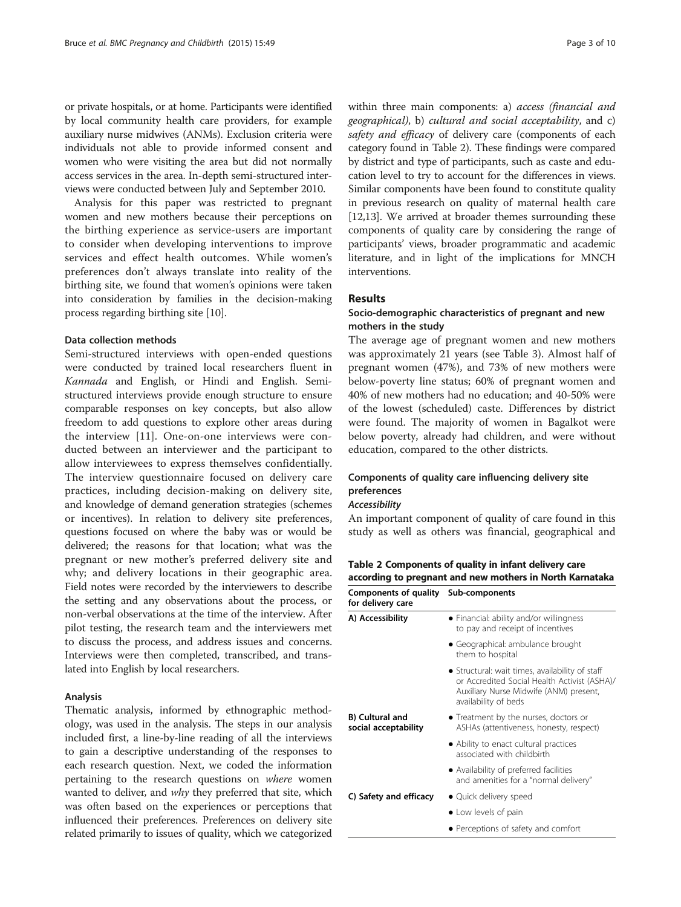or private hospitals, or at home. Participants were identified by local community health care providers, for example auxiliary nurse midwives (ANMs). Exclusion criteria were individuals not able to provide informed consent and women who were visiting the area but did not normally access services in the area. In-depth semi-structured interviews were conducted between July and September 2010.

Analysis for this paper was restricted to pregnant women and new mothers because their perceptions on the birthing experience as service-users are important to consider when developing interventions to improve services and effect health outcomes. While women's preferences don't always translate into reality of the birthing site, we found that women's opinions were taken into consideration by families in the decision-making process regarding birthing site [\[10](#page-8-0)].

#### Data collection methods

Semi-structured interviews with open-ended questions were conducted by trained local researchers fluent in Kannada and English, or Hindi and English. Semistructured interviews provide enough structure to ensure comparable responses on key concepts, but also allow freedom to add questions to explore other areas during the interview [\[11](#page-9-0)]. One-on-one interviews were conducted between an interviewer and the participant to allow interviewees to express themselves confidentially. The interview questionnaire focused on delivery care practices, including decision-making on delivery site, and knowledge of demand generation strategies (schemes or incentives). In relation to delivery site preferences, questions focused on where the baby was or would be delivered; the reasons for that location; what was the pregnant or new mother's preferred delivery site and why; and delivery locations in their geographic area. Field notes were recorded by the interviewers to describe the setting and any observations about the process, or non-verbal observations at the time of the interview. After pilot testing, the research team and the interviewers met to discuss the process, and address issues and concerns. Interviews were then completed, transcribed, and translated into English by local researchers.

#### Analysis

Thematic analysis, informed by ethnographic methodology, was used in the analysis. The steps in our analysis included first, a line-by-line reading of all the interviews to gain a descriptive understanding of the responses to each research question. Next, we coded the information pertaining to the research questions on where women wanted to deliver, and *why* they preferred that site, which was often based on the experiences or perceptions that influenced their preferences. Preferences on delivery site related primarily to issues of quality, which we categorized within three main components: a) access (financial and geographical), b) cultural and social acceptability, and c) safety and efficacy of delivery care (components of each category found in Table 2). These findings were compared by district and type of participants, such as caste and education level to try to account for the differences in views. Similar components have been found to constitute quality in previous research on quality of maternal health care [[12,13](#page-9-0)]. We arrived at broader themes surrounding these components of quality care by considering the range of participants' views, broader programmatic and academic literature, and in light of the implications for MNCH interventions.

#### Results

## Socio-demographic characteristics of pregnant and new mothers in the study

The average age of pregnant women and new mothers was approximately 21 years (see Table [3](#page-3-0)). Almost half of pregnant women (47%), and 73% of new mothers were below-poverty line status; 60% of pregnant women and 40% of new mothers had no education; and 40-50% were of the lowest (scheduled) caste. Differences by district were found. The majority of women in Bagalkot were below poverty, already had children, and were without education, compared to the other districts.

## Components of quality care influencing delivery site preferences

#### Accessibility

An important component of quality of care found in this study as well as others was financial, geographical and

Table 2 Components of quality in infant delivery care according to pregnant and new mothers in North Karnataka

| <b>Components of quality</b><br>for delivery care | Sub-components                                                                                                                                                    |  |
|---------------------------------------------------|-------------------------------------------------------------------------------------------------------------------------------------------------------------------|--|
| A) Accessibility                                  | • Financial: ability and/or willingness<br>to pay and receipt of incentives                                                                                       |  |
|                                                   | • Geographical: ambulance brought<br>them to hospital                                                                                                             |  |
|                                                   | • Structural: wait times, availability of staff<br>or Accredited Social Health Activist (ASHA)/<br>Auxiliary Nurse Midwife (ANM) present,<br>availability of beds |  |
| B) Cultural and<br>social acceptability           | • Treatment by the nurses, doctors or<br>ASHAs (attentiveness, honesty, respect)                                                                                  |  |
|                                                   | • Ability to enact cultural practices<br>associated with childbirth                                                                                               |  |
|                                                   | • Availability of preferred facilities<br>and amenities for a "normal delivery"                                                                                   |  |
| C) Safety and efficacy                            | • Quick delivery speed                                                                                                                                            |  |
|                                                   | • Low levels of pain                                                                                                                                              |  |
|                                                   | • Perceptions of safety and comfort                                                                                                                               |  |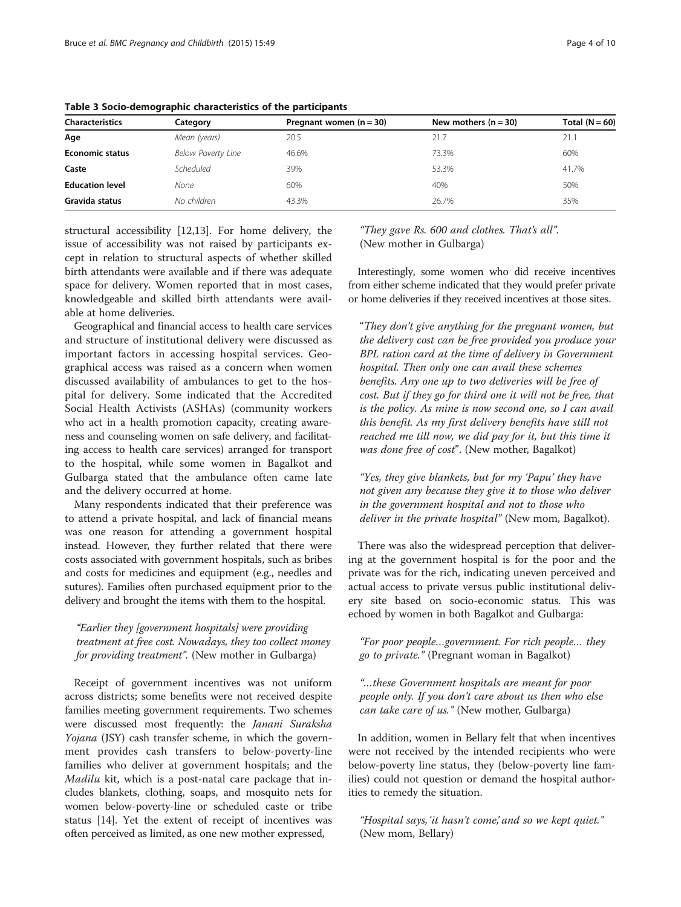| <b>Characteristics</b> | Category                  | Pregnant women $(n = 30)$ | New mothers $(n = 30)$ | Total $(N = 60)$ |
|------------------------|---------------------------|---------------------------|------------------------|------------------|
| Age                    | Mean (years)              | 20.5                      | 21.7                   | 21.1             |
| Economic status        | <b>Below Poverty Line</b> | 46.6%                     | 73.3%                  | 60%              |
| Caste                  | Scheduled                 | 39%                       | 53.3%                  | 41.7%            |
| <b>Education level</b> | None                      | 60%                       | 40%                    | 50%              |
| Gravida status         | No children               | 43.3%                     | 26.7%                  | 35%              |

<span id="page-3-0"></span>Table 3 Socio-demographic characteristics of the participants

structural accessibility [\[12,13](#page-9-0)]. For home delivery, the issue of accessibility was not raised by participants except in relation to structural aspects of whether skilled birth attendants were available and if there was adequate space for delivery. Women reported that in most cases, knowledgeable and skilled birth attendants were available at home deliveries.

Geographical and financial access to health care services and structure of institutional delivery were discussed as important factors in accessing hospital services. Geographical access was raised as a concern when women discussed availability of ambulances to get to the hospital for delivery. Some indicated that the Accredited Social Health Activists (ASHAs) (community workers who act in a health promotion capacity, creating awareness and counseling women on safe delivery, and facilitating access to health care services) arranged for transport to the hospital, while some women in Bagalkot and Gulbarga stated that the ambulance often came late and the delivery occurred at home.

Many respondents indicated that their preference was to attend a private hospital, and lack of financial means was one reason for attending a government hospital instead. However, they further related that there were costs associated with government hospitals, such as bribes and costs for medicines and equipment (e.g., needles and sutures). Families often purchased equipment prior to the delivery and brought the items with them to the hospital.

## "Earlier they [government hospitals] were providing treatment at free cost. Nowadays, they too collect money for providing treatment". (New mother in Gulbarga)

Receipt of government incentives was not uniform across districts; some benefits were not received despite families meeting government requirements. Two schemes were discussed most frequently: the Janani Suraksha Yojana (JSY) cash transfer scheme, in which the government provides cash transfers to below-poverty-line families who deliver at government hospitals; and the Madilu kit, which is a post-natal care package that includes blankets, clothing, soaps, and mosquito nets for women below-poverty-line or scheduled caste or tribe status [[14](#page-9-0)]. Yet the extent of receipt of incentives was often perceived as limited, as one new mother expressed,

"They gave Rs. 600 and clothes. That's all". (New mother in Gulbarga)

Interestingly, some women who did receive incentives from either scheme indicated that they would prefer private or home deliveries if they received incentives at those sites.

"They don't give anything for the pregnant women, but the delivery cost can be free provided you produce your BPL ration card at the time of delivery in Government hospital. Then only one can avail these schemes benefits. Any one up to two deliveries will be free of cost. But if they go for third one it will not be free, that is the policy. As mine is now second one, so I can avail this benefit. As my first delivery benefits have still not reached me till now, we did pay for it, but this time it was done free of cost". (New mother, Bagalkot)

"Yes, they give blankets, but for my 'Papu' they have not given any because they give it to those who deliver in the government hospital and not to those who deliver in the private hospital" (New mom, Bagalkot).

There was also the widespread perception that delivering at the government hospital is for the poor and the private was for the rich, indicating uneven perceived and actual access to private versus public institutional delivery site based on socio-economic status. This was echoed by women in both Bagalkot and Gulbarga:

"For poor people…government. For rich people… they go to private." (Pregnant woman in Bagalkot)

"…these Government hospitals are meant for poor people only. If you don't care about us then who else can take care of us." (New mother, Gulbarga)

In addition, women in Bellary felt that when incentives were not received by the intended recipients who were below-poverty line status, they (below-poverty line families) could not question or demand the hospital authorities to remedy the situation.

"Hospital says, 'it hasn't come,' and so we kept quiet." (New mom, Bellary)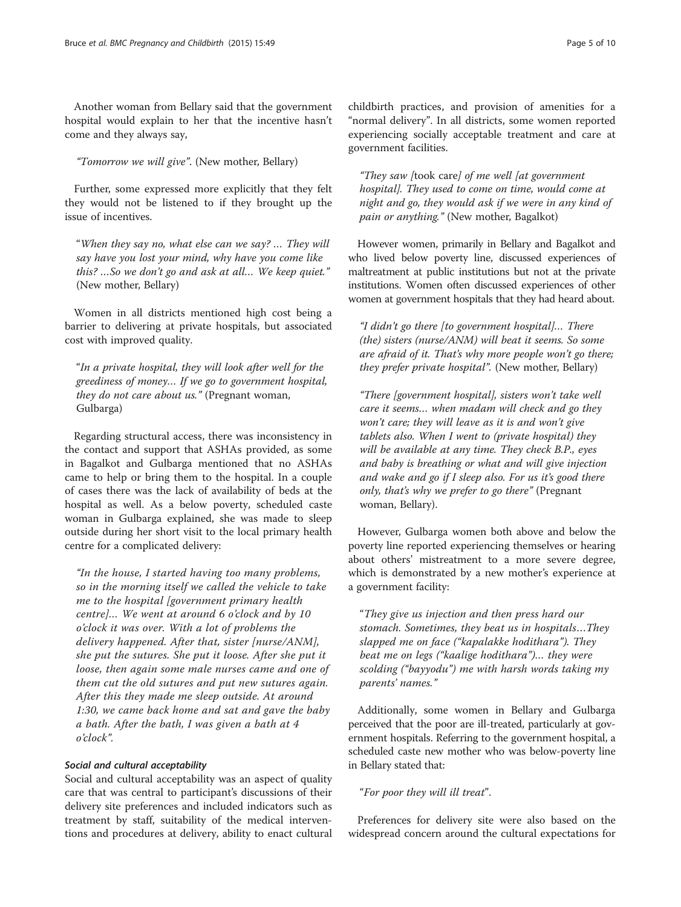Another woman from Bellary said that the government hospital would explain to her that the incentive hasn't come and they always say,

"Tomorrow we will give". (New mother, Bellary)

Further, some expressed more explicitly that they felt they would not be listened to if they brought up the issue of incentives.

"When they say no, what else can we say? … They will say have you lost your mind, why have you come like this? …So we don't go and ask at all… We keep quiet." (New mother, Bellary)

Women in all districts mentioned high cost being a barrier to delivering at private hospitals, but associated cost with improved quality.

"In a private hospital, they will look after well for the greediness of money… If we go to government hospital, they do not care about us." (Pregnant woman, Gulbarga)

Regarding structural access, there was inconsistency in the contact and support that ASHAs provided, as some in Bagalkot and Gulbarga mentioned that no ASHAs came to help or bring them to the hospital. In a couple of cases there was the lack of availability of beds at the hospital as well. As a below poverty, scheduled caste woman in Gulbarga explained, she was made to sleep outside during her short visit to the local primary health centre for a complicated delivery:

"In the house, I started having too many problems, so in the morning itself we called the vehicle to take me to the hospital [government primary health centre]… We went at around 6 o'clock and by 10 o'clock it was over. With a lot of problems the delivery happened. After that, sister [nurse/ANM], she put the sutures. She put it loose. After she put it loose, then again some male nurses came and one of them cut the old sutures and put new sutures again. After this they made me sleep outside. At around 1:30, we came back home and sat and gave the baby a bath. After the bath, I was given a bath at 4 o'clock".

### Social and cultural acceptability

Social and cultural acceptability was an aspect of quality care that was central to participant's discussions of their delivery site preferences and included indicators such as treatment by staff, suitability of the medical interventions and procedures at delivery, ability to enact cultural childbirth practices, and provision of amenities for a "normal delivery". In all districts, some women reported experiencing socially acceptable treatment and care at government facilities.

"They saw [took care] of me well [at government hospital]. They used to come on time, would come at night and go, they would ask if we were in any kind of pain or anything." (New mother, Bagalkot)

However women, primarily in Bellary and Bagalkot and who lived below poverty line, discussed experiences of maltreatment at public institutions but not at the private institutions. Women often discussed experiences of other women at government hospitals that they had heard about.

"I didn't go there [to government hospital]… There (the) sisters (nurse/ANM) will beat it seems. So some are afraid of it. That's why more people won't go there; they prefer private hospital". (New mother, Bellary)

"There [government hospital], sisters won't take well care it seems… when madam will check and go they won't care; they will leave as it is and won't give tablets also. When I went to (private hospital) they will be available at any time. They check B.P., eyes and baby is breathing or what and will give injection and wake and go if I sleep also. For us it's good there only, that's why we prefer to go there" (Pregnant woman, Bellary).

However, Gulbarga women both above and below the poverty line reported experiencing themselves or hearing about others' mistreatment to a more severe degree, which is demonstrated by a new mother's experience at a government facility:

"They give us injection and then press hard our stomach. Sometimes, they beat us in hospitals…They slapped me on face ("kapalakke hodithara"). They beat me on legs ("kaalige hodithara")… they were scolding ("bayyodu") me with harsh words taking my parents' names."

Additionally, some women in Bellary and Gulbarga perceived that the poor are ill-treated, particularly at government hospitals. Referring to the government hospital, a scheduled caste new mother who was below-poverty line in Bellary stated that:

#### "For poor they will ill treat".

Preferences for delivery site were also based on the widespread concern around the cultural expectations for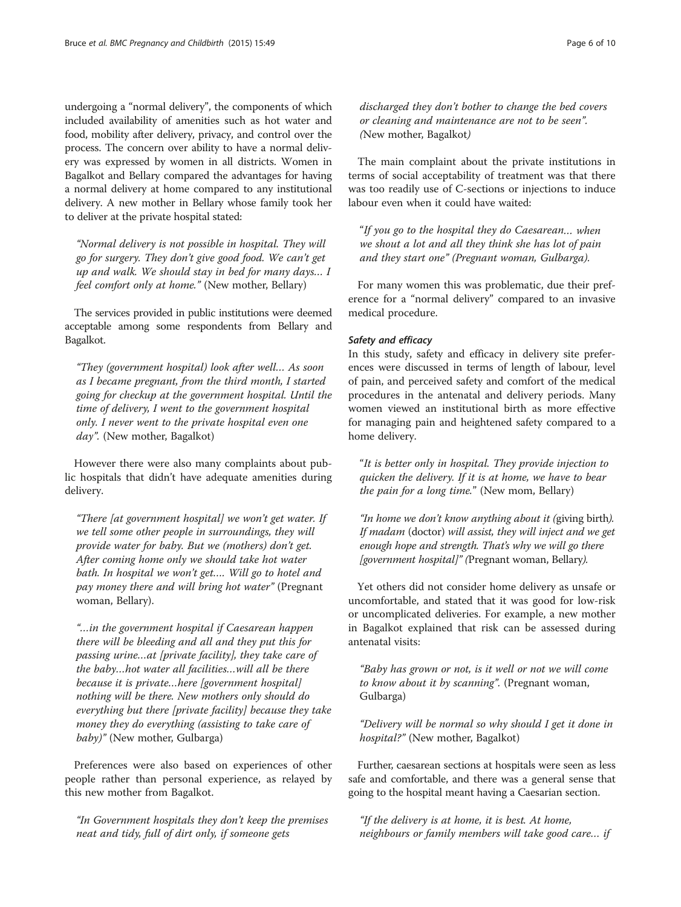undergoing a "normal delivery", the components of which included availability of amenities such as hot water and food, mobility after delivery, privacy, and control over the process. The concern over ability to have a normal delivery was expressed by women in all districts. Women in Bagalkot and Bellary compared the advantages for having a normal delivery at home compared to any institutional delivery. A new mother in Bellary whose family took her to deliver at the private hospital stated:

"Normal delivery is not possible in hospital. They will go for surgery. They don't give good food. We can't get up and walk. We should stay in bed for many days… I feel comfort only at home." (New mother, Bellary)

The services provided in public institutions were deemed acceptable among some respondents from Bellary and Bagalkot.

"They (government hospital) look after well… As soon as I became pregnant, from the third month, I started going for checkup at the government hospital. Until the time of delivery, I went to the government hospital only. I never went to the private hospital even one day". (New mother, Bagalkot)

However there were also many complaints about public hospitals that didn't have adequate amenities during delivery.

"There [at government hospital] we won't get water. If we tell some other people in surroundings, they will provide water for baby. But we (mothers) don't get. After coming home only we should take hot water bath. In hospital we won't get…. Will go to hotel and pay money there and will bring hot water" (Pregnant woman, Bellary).

"…in the government hospital if Caesarean happen there will be bleeding and all and they put this for passing urine…at [private facility], they take care of the baby…hot water all facilities…will all be there because it is private…here [government hospital] nothing will be there. New mothers only should do everything but there [private facility] because they take money they do everything (assisting to take care of baby)" (New mother, Gulbarga)

Preferences were also based on experiences of other people rather than personal experience, as relayed by this new mother from Bagalkot.

"In Government hospitals they don't keep the premises neat and tidy, full of dirt only, if someone gets

discharged they don't bother to change the bed covers or cleaning and maintenance are not to be seen". (New mother, Bagalkot)

The main complaint about the private institutions in terms of social acceptability of treatment was that there was too readily use of C-sections or injections to induce labour even when it could have waited:

"If you go to the hospital they do Caesarean… when we shout a lot and all they think she has lot of pain and they start one" (Pregnant woman, Gulbarga).

For many women this was problematic, due their preference for a "normal delivery" compared to an invasive medical procedure.

## Safety and efficacy

In this study, safety and efficacy in delivery site preferences were discussed in terms of length of labour, level of pain, and perceived safety and comfort of the medical procedures in the antenatal and delivery periods. Many women viewed an institutional birth as more effective for managing pain and heightened safety compared to a home delivery.

"It is better only in hospital. They provide injection to quicken the delivery. If it is at home, we have to bear the pain for a long time." (New mom, Bellary)

"In home we don't know anything about it (giving birth). If madam (doctor) will assist, they will inject and we get enough hope and strength. That's why we will go there [government hospital]" (Pregnant woman, Bellary).

Yet others did not consider home delivery as unsafe or uncomfortable, and stated that it was good for low-risk or uncomplicated deliveries. For example, a new mother in Bagalkot explained that risk can be assessed during antenatal visits:

"Baby has grown or not, is it well or not we will come to know about it by scanning". (Pregnant woman, Gulbarga)

"Delivery will be normal so why should I get it done in hospital?" (New mother, Bagalkot)

Further, caesarean sections at hospitals were seen as less safe and comfortable, and there was a general sense that going to the hospital meant having a Caesarian section.

"If the delivery is at home, it is best. At home, neighbours or family members will take good care… if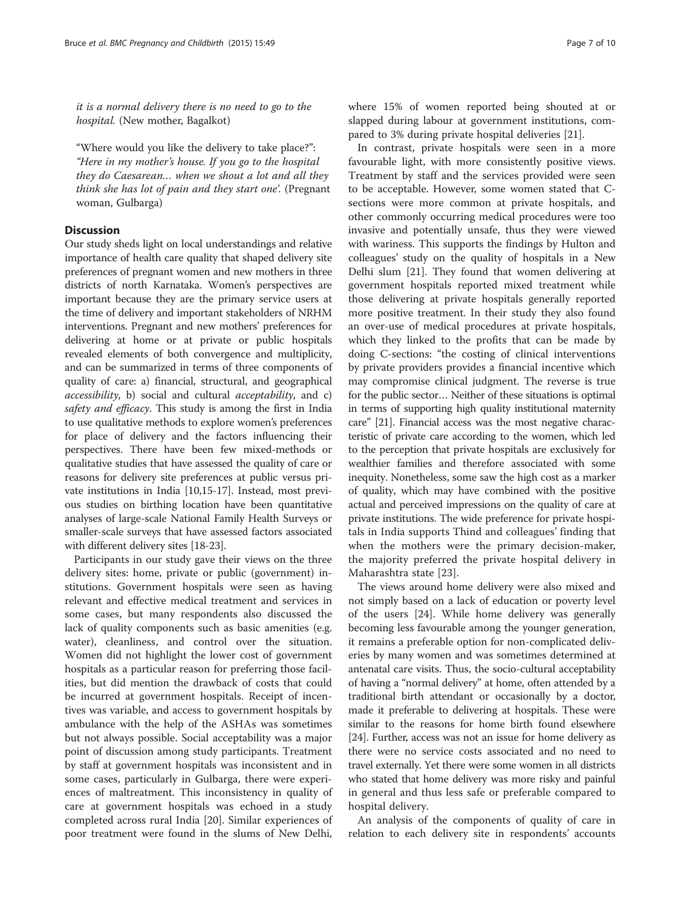it is a normal delivery there is no need to go to the hospital. (New mother, Bagalkot)

"Where would you like the delivery to take place?": "Here in my mother's house. If you go to the hospital they do Caesarean… when we shout a lot and all they think she has lot of pain and they start one'. (Pregnant woman, Gulbarga)

## **Discussion**

Our study sheds light on local understandings and relative importance of health care quality that shaped delivery site preferences of pregnant women and new mothers in three districts of north Karnataka. Women's perspectives are important because they are the primary service users at the time of delivery and important stakeholders of NRHM interventions. Pregnant and new mothers' preferences for delivering at home or at private or public hospitals revealed elements of both convergence and multiplicity, and can be summarized in terms of three components of quality of care: a) financial, structural, and geographical accessibility, b) social and cultural acceptability, and c) safety and efficacy. This study is among the first in India to use qualitative methods to explore women's preferences for place of delivery and the factors influencing their perspectives. There have been few mixed-methods or qualitative studies that have assessed the quality of care or reasons for delivery site preferences at public versus private institutions in India [[10](#page-8-0)[,15-17](#page-9-0)]. Instead, most previous studies on birthing location have been quantitative analyses of large-scale National Family Health Surveys or smaller-scale surveys that have assessed factors associated with different delivery sites [[18-23\]](#page-9-0).

Participants in our study gave their views on the three delivery sites: home, private or public (government) institutions. Government hospitals were seen as having relevant and effective medical treatment and services in some cases, but many respondents also discussed the lack of quality components such as basic amenities (e.g. water), cleanliness, and control over the situation. Women did not highlight the lower cost of government hospitals as a particular reason for preferring those facilities, but did mention the drawback of costs that could be incurred at government hospitals. Receipt of incentives was variable, and access to government hospitals by ambulance with the help of the ASHAs was sometimes but not always possible. Social acceptability was a major point of discussion among study participants. Treatment by staff at government hospitals was inconsistent and in some cases, particularly in Gulbarga, there were experiences of maltreatment. This inconsistency in quality of care at government hospitals was echoed in a study completed across rural India [\[20](#page-9-0)]. Similar experiences of poor treatment were found in the slums of New Delhi,

where 15% of women reported being shouted at or slapped during labour at government institutions, compared to 3% during private hospital deliveries [\[21](#page-9-0)].

In contrast, private hospitals were seen in a more favourable light, with more consistently positive views. Treatment by staff and the services provided were seen to be acceptable. However, some women stated that Csections were more common at private hospitals, and other commonly occurring medical procedures were too invasive and potentially unsafe, thus they were viewed with wariness. This supports the findings by Hulton and colleagues' study on the quality of hospitals in a New Delhi slum [[21](#page-9-0)]. They found that women delivering at government hospitals reported mixed treatment while those delivering at private hospitals generally reported more positive treatment. In their study they also found an over-use of medical procedures at private hospitals, which they linked to the profits that can be made by doing C-sections: "the costing of clinical interventions by private providers provides a financial incentive which may compromise clinical judgment. The reverse is true for the public sector… Neither of these situations is optimal in terms of supporting high quality institutional maternity care" [\[21](#page-9-0)]. Financial access was the most negative characteristic of private care according to the women, which led to the perception that private hospitals are exclusively for wealthier families and therefore associated with some inequity. Nonetheless, some saw the high cost as a marker of quality, which may have combined with the positive actual and perceived impressions on the quality of care at private institutions. The wide preference for private hospitals in India supports Thind and colleagues' finding that when the mothers were the primary decision-maker, the majority preferred the private hospital delivery in Maharashtra state [[23](#page-9-0)].

The views around home delivery were also mixed and not simply based on a lack of education or poverty level of the users [[24\]](#page-9-0). While home delivery was generally becoming less favourable among the younger generation, it remains a preferable option for non-complicated deliveries by many women and was sometimes determined at antenatal care visits. Thus, the socio-cultural acceptability of having a "normal delivery" at home, often attended by a traditional birth attendant or occasionally by a doctor, made it preferable to delivering at hospitals. These were similar to the reasons for home birth found elsewhere [[24](#page-9-0)]. Further, access was not an issue for home delivery as there were no service costs associated and no need to travel externally. Yet there were some women in all districts who stated that home delivery was more risky and painful in general and thus less safe or preferable compared to hospital delivery.

An analysis of the components of quality of care in relation to each delivery site in respondents' accounts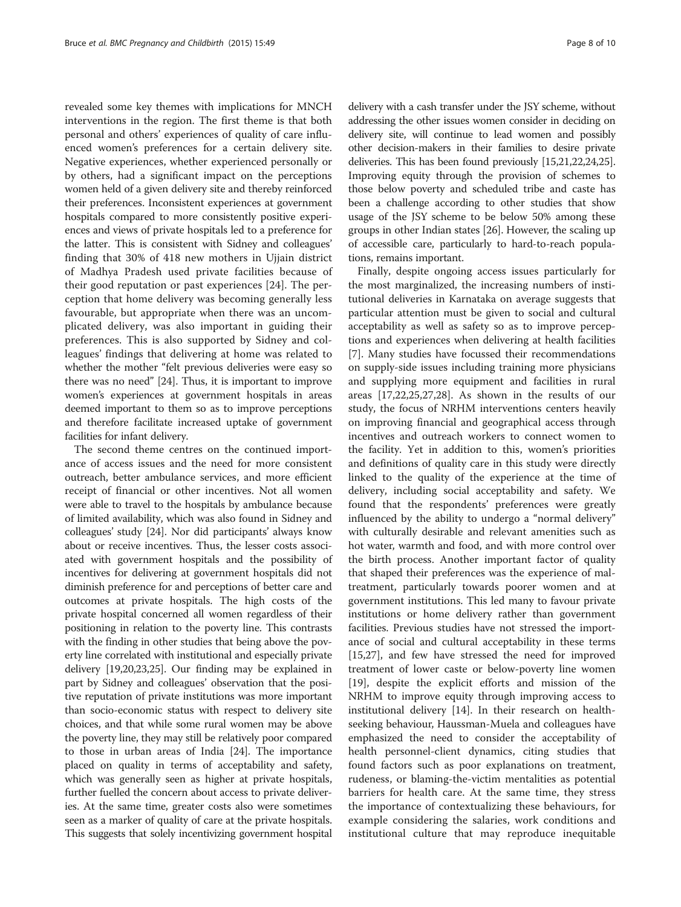revealed some key themes with implications for MNCH interventions in the region. The first theme is that both personal and others' experiences of quality of care influenced women's preferences for a certain delivery site. Negative experiences, whether experienced personally or by others, had a significant impact on the perceptions women held of a given delivery site and thereby reinforced their preferences. Inconsistent experiences at government hospitals compared to more consistently positive experiences and views of private hospitals led to a preference for the latter. This is consistent with Sidney and colleagues' finding that 30% of 418 new mothers in Ujjain district of Madhya Pradesh used private facilities because of their good reputation or past experiences [[24\]](#page-9-0). The perception that home delivery was becoming generally less favourable, but appropriate when there was an uncomplicated delivery, was also important in guiding their preferences. This is also supported by Sidney and colleagues' findings that delivering at home was related to whether the mother "felt previous deliveries were easy so there was no need" [[24](#page-9-0)]. Thus, it is important to improve women's experiences at government hospitals in areas deemed important to them so as to improve perceptions and therefore facilitate increased uptake of government facilities for infant delivery.

The second theme centres on the continued importance of access issues and the need for more consistent outreach, better ambulance services, and more efficient receipt of financial or other incentives. Not all women were able to travel to the hospitals by ambulance because of limited availability, which was also found in Sidney and colleagues' study [\[24\]](#page-9-0). Nor did participants' always know about or receive incentives. Thus, the lesser costs associated with government hospitals and the possibility of incentives for delivering at government hospitals did not diminish preference for and perceptions of better care and outcomes at private hospitals. The high costs of the private hospital concerned all women regardless of their positioning in relation to the poverty line. This contrasts with the finding in other studies that being above the poverty line correlated with institutional and especially private delivery [[19,20,23,25](#page-9-0)]. Our finding may be explained in part by Sidney and colleagues' observation that the positive reputation of private institutions was more important than socio-economic status with respect to delivery site choices, and that while some rural women may be above the poverty line, they may still be relatively poor compared to those in urban areas of India [\[24\]](#page-9-0). The importance placed on quality in terms of acceptability and safety, which was generally seen as higher at private hospitals, further fuelled the concern about access to private deliveries. At the same time, greater costs also were sometimes seen as a marker of quality of care at the private hospitals. This suggests that solely incentivizing government hospital delivery with a cash transfer under the JSY scheme, without addressing the other issues women consider in deciding on delivery site, will continue to lead women and possibly other decision-makers in their families to desire private deliveries. This has been found previously [[15,21,22,24,25](#page-9-0)]. Improving equity through the provision of schemes to those below poverty and scheduled tribe and caste has been a challenge according to other studies that show usage of the JSY scheme to be below 50% among these groups in other Indian states [\[26](#page-9-0)]. However, the scaling up of accessible care, particularly to hard-to-reach populations, remains important.

Finally, despite ongoing access issues particularly for the most marginalized, the increasing numbers of institutional deliveries in Karnataka on average suggests that particular attention must be given to social and cultural acceptability as well as safety so as to improve perceptions and experiences when delivering at health facilities [[7\]](#page-8-0). Many studies have focussed their recommendations on supply-side issues including training more physicians and supplying more equipment and facilities in rural areas [[17](#page-9-0),[22](#page-9-0),[25](#page-9-0),[27,28](#page-9-0)]. As shown in the results of our study, the focus of NRHM interventions centers heavily on improving financial and geographical access through incentives and outreach workers to connect women to the facility. Yet in addition to this, women's priorities and definitions of quality care in this study were directly linked to the quality of the experience at the time of delivery, including social acceptability and safety. We found that the respondents' preferences were greatly influenced by the ability to undergo a "normal delivery" with culturally desirable and relevant amenities such as hot water, warmth and food, and with more control over the birth process. Another important factor of quality that shaped their preferences was the experience of maltreatment, particularly towards poorer women and at government institutions. This led many to favour private institutions or home delivery rather than government facilities. Previous studies have not stressed the importance of social and cultural acceptability in these terms [[15,27\]](#page-9-0), and few have stressed the need for improved treatment of lower caste or below-poverty line women [[19\]](#page-9-0), despite the explicit efforts and mission of the NRHM to improve equity through improving access to institutional delivery [\[14](#page-9-0)]. In their research on healthseeking behaviour, Haussman-Muela and colleagues have emphasized the need to consider the acceptability of health personnel-client dynamics, citing studies that found factors such as poor explanations on treatment, rudeness, or blaming-the-victim mentalities as potential barriers for health care. At the same time, they stress the importance of contextualizing these behaviours, for example considering the salaries, work conditions and institutional culture that may reproduce inequitable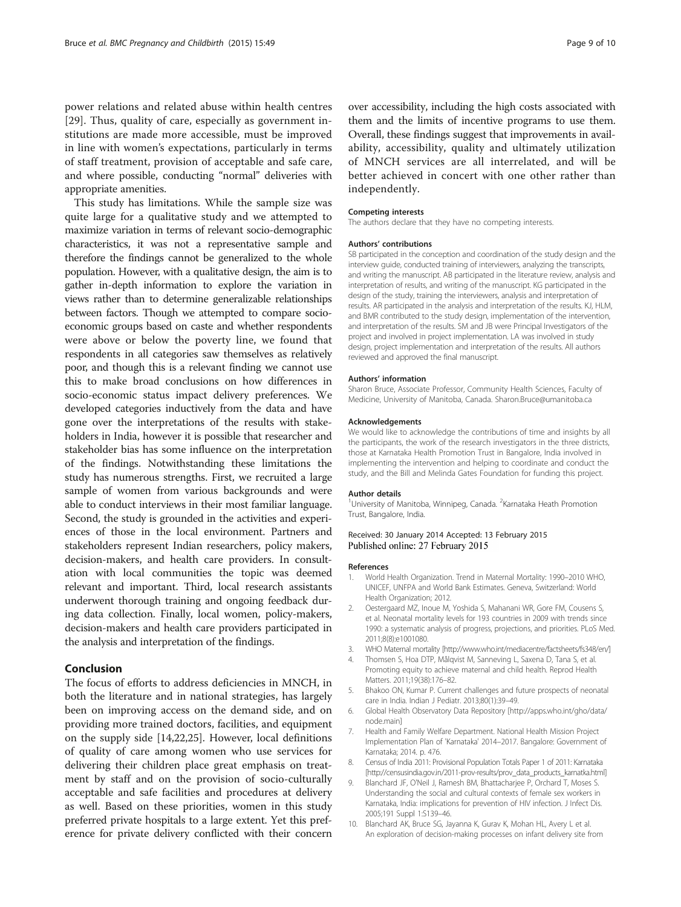<span id="page-8-0"></span>power relations and related abuse within health centres [[29\]](#page-9-0). Thus, quality of care, especially as government institutions are made more accessible, must be improved in line with women's expectations, particularly in terms of staff treatment, provision of acceptable and safe care, and where possible, conducting "normal" deliveries with appropriate amenities.

This study has limitations. While the sample size was quite large for a qualitative study and we attempted to maximize variation in terms of relevant socio-demographic characteristics, it was not a representative sample and therefore the findings cannot be generalized to the whole population. However, with a qualitative design, the aim is to gather in-depth information to explore the variation in views rather than to determine generalizable relationships between factors. Though we attempted to compare socioeconomic groups based on caste and whether respondents were above or below the poverty line, we found that respondents in all categories saw themselves as relatively poor, and though this is a relevant finding we cannot use this to make broad conclusions on how differences in socio-economic status impact delivery preferences. We developed categories inductively from the data and have gone over the interpretations of the results with stakeholders in India, however it is possible that researcher and stakeholder bias has some influence on the interpretation of the findings. Notwithstanding these limitations the study has numerous strengths. First, we recruited a large sample of women from various backgrounds and were able to conduct interviews in their most familiar language. Second, the study is grounded in the activities and experiences of those in the local environment. Partners and stakeholders represent Indian researchers, policy makers, decision-makers, and health care providers. In consultation with local communities the topic was deemed relevant and important. Third, local research assistants underwent thorough training and ongoing feedback during data collection. Finally, local women, policy-makers, decision-makers and health care providers participated in the analysis and interpretation of the findings.

#### Conclusion

The focus of efforts to address deficiencies in MNCH, in both the literature and in national strategies, has largely been on improving access on the demand side, and on providing more trained doctors, facilities, and equipment on the supply side [\[14,22,25](#page-9-0)]. However, local definitions of quality of care among women who use services for delivering their children place great emphasis on treatment by staff and on the provision of socio-culturally acceptable and safe facilities and procedures at delivery as well. Based on these priorities, women in this study preferred private hospitals to a large extent. Yet this preference for private delivery conflicted with their concern

over accessibility, including the high costs associated with them and the limits of incentive programs to use them. Overall, these findings suggest that improvements in availability, accessibility, quality and ultimately utilization of MNCH services are all interrelated, and will be better achieved in concert with one other rather than independently.

#### Competing interests

The authors declare that they have no competing interests.

#### Authors' contributions

SB participated in the conception and coordination of the study design and the interview guide, conducted training of interviewers, analyzing the transcripts, and writing the manuscript. AB participated in the literature review, analysis and interpretation of results, and writing of the manuscript. KG participated in the design of the study, training the interviewers, analysis and interpretation of results. AR participated in the analysis and interpretation of the results. KJ, HLM, and BMR contributed to the study design, implementation of the intervention, and interpretation of the results. SM and JB were Principal Investigators of the project and involved in project implementation. LA was involved in study design, project implementation and interpretation of the results. All authors reviewed and approved the final manuscript.

#### Authors' information

Sharon Bruce, Associate Professor, Community Health Sciences, Faculty of Medicine, University of Manitoba, Canada. Sharon.Bruce@umanitoba.ca

#### Acknowledgements

We would like to acknowledge the contributions of time and insights by all the participants, the work of the research investigators in the three districts, those at Karnataka Health Promotion Trust in Bangalore, India involved in implementing the intervention and helping to coordinate and conduct the study, and the Bill and Melinda Gates Foundation for funding this project.

#### Author details

<sup>1</sup> University of Manitoba, Winnipeg, Canada. <sup>2</sup> Karnataka Heath Promotion Trust, Bangalore, India.

#### Received: 30 January 2014 Accepted: 13 February 2015 Published online: 27 February 2015

#### References

- 1. World Health Organization. Trend in Maternal Mortality: 1990–2010 WHO, UNICEF, UNFPA and World Bank Estimates. Geneva, Switzerland: World Health Organization; 2012.
- 2. Oestergaard MZ, Inoue M, Yoshida S, Mahanani WR, Gore FM, Cousens S, et al. Neonatal mortality levels for 193 countries in 2009 with trends since 1990: a systematic analysis of progress, projections, and priorities. PLoS Med. 2011;8(8):e1001080.
- 3. WHO Maternal mortality [\[http://www.who.int/mediacentre/factsheets/fs348/en/\]](http://www.who.int/mediacentre/factsheets/fs348/en/)
- 4. Thomsen S, Hoa DTP, Målqvist M, Sanneving L, Saxena D, Tana S, et al. Promoting equity to achieve maternal and child health. Reprod Health Matters. 2011;19(38):176–82.
- 5. Bhakoo ON, Kumar P. Current challenges and future prospects of neonatal care in India. Indian J Pediatr. 2013;80(1):39–49.
- 6. Global Health Observatory Data Repository [\[http://apps.who.int/gho/data/](http://apps.who.int/gho/data/node.main) [node.main](http://apps.who.int/gho/data/node.main)]
- 7. Health and Family Welfare Department. National Health Mission Project Implementation Plan of 'Karnataka' 2014–2017. Bangalore: Government of Karnataka; 2014. p. 476.
- 8. Census of India 2011: Provisional Population Totals Paper 1 of 2011: Karnataka [\[http://censusindia.gov.in/2011-prov-results/prov\\_data\\_products\\_karnatka.html](http://censusindia.gov.in/2011-prov-results/prov_data_products_karnatka.html)]
- Blanchard JF, O'Neil J, Ramesh BM, Bhattacharjee P, Orchard T, Moses S. Understanding the social and cultural contexts of female sex workers in Karnataka, India: implications for prevention of HIV infection. J Infect Dis. 2005;191 Suppl 1:S139–46.
- 10. Blanchard AK, Bruce SG, Jayanna K, Gurav K, Mohan HL, Avery L et al. An exploration of decision-making processes on infant delivery site from